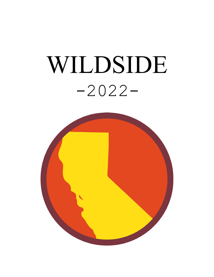# WILDSIDE -2022-

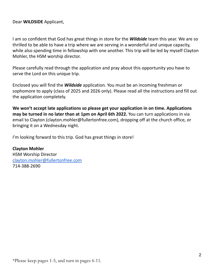I am so confident that God has great things in store for the *Wildside* team this year. We are so thrilled to be able to have a trip where we are serving in a wonderful and unique capacity, while also spending time in fellowship with one another. This trip will be led by myself Clayton Mohler, the HSM worship director.

Please carefully read through the application and pray about this opportunity you have to serve the Lord on this unique trip.

Enclosed you will find the *Wildside* application. You must be an incoming freshman or sophomore to apply (class of 2025 and 2026 only). Please read all the instructions and fill out the application completely.

**We won't accept late applications so please get your application in on time. Applications may be turned in no later than at 1pm on April 6th 2022.** You can turn applications in via email to Clayton (clayton.mohler@fullertonfree.com), dropping off at the church office, or bringing it on a Wednesday night.

I'm looking forward to this trip. God has great things in store!

**Clayton Mohler** HSM Worship Director [clayton.mohler@fullertonfree.com](mailto:amy.delmore@fullertonfree.com) 714-388-2690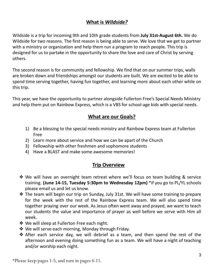# **What is** *Wildside?*

Wildside is a trip for incoming 9th and 10th grade students from **July 31st-August 6th.** We do Wildside for two reasons. The first reason is being able to serve. We love that we get to partner with a ministry or organization and help them run a program to reach people. This trip is designed for us to partake in the opportunity to share the love and care of Christ by serving others.

The second reason is for community and fellowship. We find that on our summer trips, walls are broken down and friendships amongst our students are built. We are excited to be able to spend time serving together, having fun together, and learning more about each other while on this trip.

This year, we have the opportunity to partner alongside Fullerton Free's Special Needs Ministry and help them put on Rainbow Express, which is a VBS for school-age kids with special needs.

# **What are our Goals?**

- 1) Be a blessing to the special needs ministry and Rainbow Express team at Fullerton Free
- 2) Learn more about service and how we can be apart of the Church
- 3) Fellowship with other freshmen and sophomore students
- 4) Have a BLAST and make some awesome memories!

# **Trip Overview**

- ❖ We will have an overnight team retreat where we'll focus on team building & service training. **(June 14-15, Tuesday 5:30pm to Wednesday 12pm)** \*if you go to PL/YL schools please email us and let us know.
- ❖ The team will begin our trip on Sunday, July 31st. We will have some training to prepare for the week with the rest of the Rainbow Express team. We will also spend time together praying over our week. As Jesus often went away and prayed, we want to teach our students the value and importance of prayer as well before we serve with Him all week.
- ❖ We will sleep at Fullerton Free each night.
- ❖ We will serve each morning, Monday through Friday.
- ❖ After each service day, we will debrief as a team, and then spend the rest of the afternoon and evening doing something fun as a team. We will have a night of teaching and/or worship each night.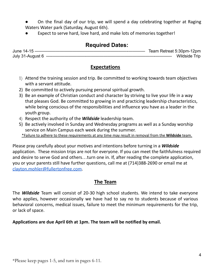On the final day of our trip, we will spend a day celebrating together at Raging Waters Water park (Saturday, August 6th).

Expect to serve hard, love hard, and make lots of memories together!

# **Required Dates:**

June 14-15 ——————————————————————-———— Team Retreat 5:30pm-12pm July 31-August 6 —-————————-————————————————-———— Wildside Trip

### **Expectations**

- 1) Attend the training session and trip. Be committed to working towards team objectives with a servant attitude.
- 2) Be committed to actively pursuing personal spiritual growth.
- 3) Be an example of Christian conduct and character by striving to live your life in a way that pleases God. Be committed to growing in and practicing leadership characteristics, while being conscious of the responsibilities and influence you have as a leader in the youth group.
- 4) Respect the authority of the *Wildside* leadership team.
- 5) Be actively involved in Sunday and Wednesday programs as well as a Sunday worship service on Main Campus each week during the summer. \*Failure to adhere to these requirements at any time may result in removal from the **Wildside** team.

Please pray carefully about your motives and intentions before turning in a *Wildside* application. These mission trips are not for everyone. If you can meet the faithfulness required and desire to serve God and others…turn one in. If, after reading the complete application, you or your parents still have further questions, call me at (714)388-2690 or email me at [clayton.mohler@fullertonfree.com](mailto:amy.delmore@fullertonfree.com).

# **The Team**

The *Wildside* Team will consist of 20-30 high school students. We intend to take everyone who applies, however occasionally we have had to say no to students because of various behavioral concerns, medical issues, failure to meet the minimum requirements for the trip, or lack of space.

**Applications are due April 6th at 1pm. The team will be notified by email.**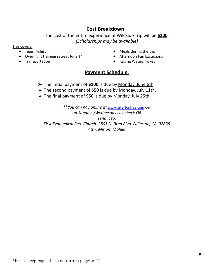# **Cost Breakdown**

The cost of the entire experience of Wildside Trip will be **\$200**. *(Scholarships may be available)*

#### This covers:

- Team T-shirt
- Overnight training retreat June 14
- Transportation
- Meals during the trip
- Afternoon Fun Excursions
- Raging Waters Ticket

# **Payment Schedule**:

- ➢ The initial payment of **\$100** is due by Monday, June 6th.
- ➢ The second payment of **\$50** is due by Monday, July 11th.
- ➢ The final payment of **\$50** is due by Monday, July 25th.

\*\**You can pay online at* [www.fullertonfree.com](http://www.evfreefullerton.com/) *OR on Sundays/Wednesdays by check OR send it to: First Evangelical Free Church, 2801 N. Brea Blvd. Fullerton, CA 92835 Attn: Miriam Mohler*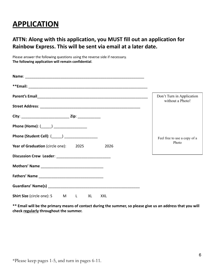# **APPLICATION**

# **ATTN: Along with this application, you MUST fill out an application for Rainbow Express. This will be sent via email at a later date.**

Please answer the following questions using the reverse side if necessary. **The following application will remain confidential**.

|                                                                         | Don't Turn in Application<br>without a Photo! |
|-------------------------------------------------------------------------|-----------------------------------------------|
|                                                                         |                                               |
|                                                                         |                                               |
| Phone (Home): (_____) _________________                                 |                                               |
|                                                                         | Feel free to use a copy of a                  |
| <b>Year of Graduation</b> (circle one): 2025<br>2026                    | Photo                                         |
|                                                                         |                                               |
|                                                                         |                                               |
|                                                                         |                                               |
|                                                                         |                                               |
| <b>Shirt Size</b> (circle one): S M<br>$\mathsf{L}$<br><b>XL</b><br>XXL |                                               |

**\*\* Email will be the primary means of contact during the summer, so please give us an address that you will check regularly throughout the summer.**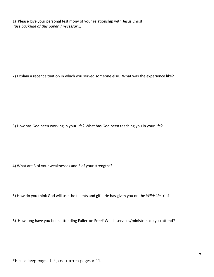1) Please give your personal testimony of your relationship with Jesus Christ. *(use backside of this paper if necessary.)*

2) Explain a recent situation in which you served someone else. What was the experience like?

3) How has God been working in your life? What has God been teaching you in your life?

4) What are 3 of your weaknesses and 3 of your strengths?

5) How do you think God will use the talents and gifts He has given you on the *Wildside* trip?

6) How long have you been attending Fullerton Free? Which services/ministries do you attend?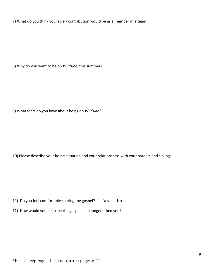7) What do you think your role / contribution would be as a member of a team?

8) Why do you want to be on *Wildside* this summer?

9) What fears do you have about being on *Wildside*?

10) Please describe your home situation and your relationships with your parents and siblings:

11) Do you feel comfortable sharing the gospel? Yes No

12) How would you describe the gospel if a stranger asked you?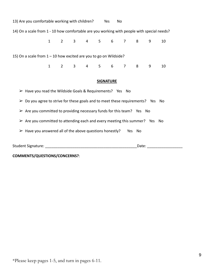| 13) Are you comfortable working with children?<br>Yes<br>No                                    |                                                                   |  |  |  |  |  |  |                                                                    |   |    |  |
|------------------------------------------------------------------------------------------------|-------------------------------------------------------------------|--|--|--|--|--|--|--------------------------------------------------------------------|---|----|--|
| 14) On a scale from 1 - 10 how comfortable are you working with people with special needs?     |                                                                   |  |  |  |  |  |  |                                                                    |   |    |  |
|                                                                                                | $\mathbf{1}$                                                      |  |  |  |  |  |  | 2 3 4 5 6 7 8 9                                                    |   | 10 |  |
|                                                                                                | 15) On a scale from 1 - 10 how excited are you to go on Wildside? |  |  |  |  |  |  |                                                                    |   |    |  |
|                                                                                                |                                                                   |  |  |  |  |  |  | $1 \qquad 2 \qquad 3 \qquad 4 \qquad 5 \qquad 6 \qquad 7 \qquad 8$ | 9 | 10 |  |
| <b>SIGNATURE</b>                                                                               |                                                                   |  |  |  |  |  |  |                                                                    |   |    |  |
| $\triangleright$ Have you read the Wildside Goals & Requirements? Yes No                       |                                                                   |  |  |  |  |  |  |                                                                    |   |    |  |
| $\triangleright$ Do you agree to strive for these goals and to meet these requirements? Yes No |                                                                   |  |  |  |  |  |  |                                                                    |   |    |  |
| $\triangleright$ Are you committed to providing necessary funds for this team? Yes No          |                                                                   |  |  |  |  |  |  |                                                                    |   |    |  |
| $\triangleright$ Are you committed to attending each and every meeting this summer? Yes No     |                                                                   |  |  |  |  |  |  |                                                                    |   |    |  |
| $\triangleright$ Have you answered all of the above questions honestly? Yes No                 |                                                                   |  |  |  |  |  |  |                                                                    |   |    |  |
|                                                                                                |                                                                   |  |  |  |  |  |  | Date:                                                              |   |    |  |

**COMMENTS/QUESTIONS/CONCERNS?**: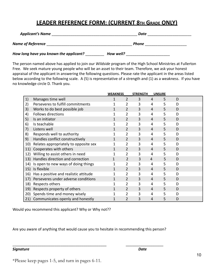# **LEADER REFERENCE FORM: (CURRENT 8TH GRADE ONLY)**

| <b>Applicant's Name</b>                | Date      |  |  |  |  |  |  |
|----------------------------------------|-----------|--|--|--|--|--|--|
| Name of Reference                      | Phone     |  |  |  |  |  |  |
| How long have you known the applicant? | How well? |  |  |  |  |  |  |

The person named above has applied to join our *Wildside* program of the High School Ministries at Fullerton Free. We seek mature young people who will be an asset to their team. Therefore, we ask your honest appraisal of the applicant in answering the following questions. Please rate the applicant in the areas listed below according to the following scale. A (5) is representative of a strength and (1) as a weakness. If you have no knowledge circle D. Thank you.

|     |                                       | <b>WEAKNESS</b> |                | <b>STRENGTH</b> |   | <b>UNSURE</b> |   |  |
|-----|---------------------------------------|-----------------|----------------|-----------------|---|---------------|---|--|
| 1)  | Manages time well                     | $\mathbf{1}$    | 2              | 3               | 4 | 5             | D |  |
| 2)  | Perseveres to fulfill commitments     | 1               | 2              | 3               | 4 | 5             | D |  |
| 3)  | Works to do best possible job         | 1               | $\overline{2}$ | 3               | 4 | 5             | D |  |
| 4)  | <b>Follows directions</b>             | $\mathbf{1}$    | 2              | 3               | 4 | 5             | D |  |
| 5)  | Is an initiator                       | 1               | $\overline{2}$ | 3               | 4 | 5             | D |  |
| 6)  | Is teachable                          | 1               | 2              | 3               | 4 | 5             | D |  |
| 7)  | Listens well                          | 1               | 2              | 3               | 4 | 5             | D |  |
| 8)  | Responds well to authority            | 1               | 2              | 3               | 4 | 5             | D |  |
| 9)  | Handles conflict constructively       | 1               | $\overline{2}$ | 3               | 4 | 5             | D |  |
| 10) | Relates appropriately to opposite sex | 1               | 2              | 3               | 4 | 5             | D |  |
| 11) | Cooperates with others                | 1               | 2              | 3               | 4 | 5             | D |  |
| 12) | Willing to assist others in need      | 1               | 2              | 3               | 4 | 5             | D |  |
| 13) | Handles direction and correction      | $\mathbf{1}$    | $\overline{2}$ | 3               | 4 | 5             | D |  |
| 14) | Is open to new ways of doing things   | $\mathbf{1}$    | 2              | 3               | 4 | 5             | D |  |
| 15) | Is flexible                           | $\mathbf{1}$    | 2              | 3               | 4 | 5             | D |  |
| 16) | Has a positive and realistic attitude | 1               | 2              | 3               | 4 | 5             | D |  |
| 17) | Perseveres under adverse conditions   | 1               | $\overline{2}$ | 3               | 4 | 5             | D |  |
| 18) | Respects others                       | 1               | 2              | 3               | 4 | 5             | D |  |
| 19) | Respects property of others           | 1               | $\overline{2}$ | 3               | 4 | 5             | D |  |
| 20) | Spends time and money wisely          | 1               | 2              | 3               | 4 | 5             | D |  |
| 21) | Communicates openly and honestly      | 1               | 2              | 3               | 4 | 5             | D |  |

Would you recommend this applicant? Why or Why not??

Are you aware of anything that would cause you to hesitate in recommending this person?

\_\_\_\_\_\_\_\_\_\_\_\_\_\_\_\_\_\_\_\_\_\_\_\_\_\_\_\_\_\_\_\_\_\_\_\_\_\_\_\_\_\_\_\_\_ \_\_\_\_\_\_\_\_\_\_\_\_\_\_\_\_\_\_

#### *Signature Date*